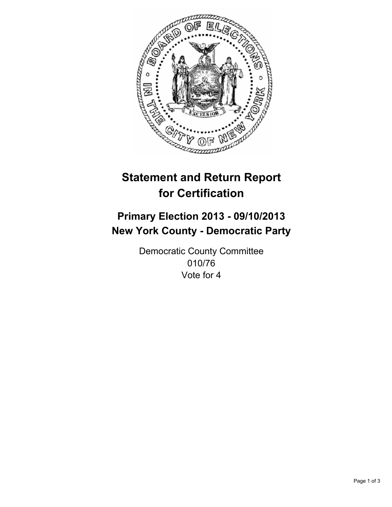

# **Statement and Return Report for Certification**

# **Primary Election 2013 - 09/10/2013 New York County - Democratic Party**

Democratic County Committee 010/76 Vote for 4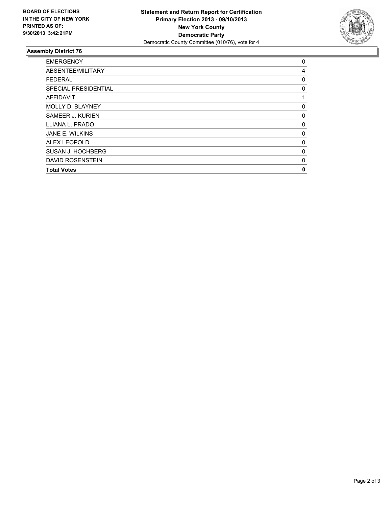

## **Assembly District 76**

| <b>EMERGENCY</b>        | 0 |
|-------------------------|---|
| ABSENTEE/MILITARY       | 4 |
| <b>FEDERAL</b>          | 0 |
| SPECIAL PRESIDENTIAL    | 0 |
| AFFIDAVIT               | 1 |
| <b>MOLLY D. BLAYNEY</b> | 0 |
| SAMEER J. KURIEN        | 0 |
| LLIANA L. PRADO         | 0 |
| JANE E. WILKINS         | 0 |
| ALEX LEOPOLD            | 0 |
| SUSAN J. HOCHBERG       | 0 |
| <b>DAVID ROSENSTEIN</b> | 0 |
| <b>Total Votes</b>      | 0 |